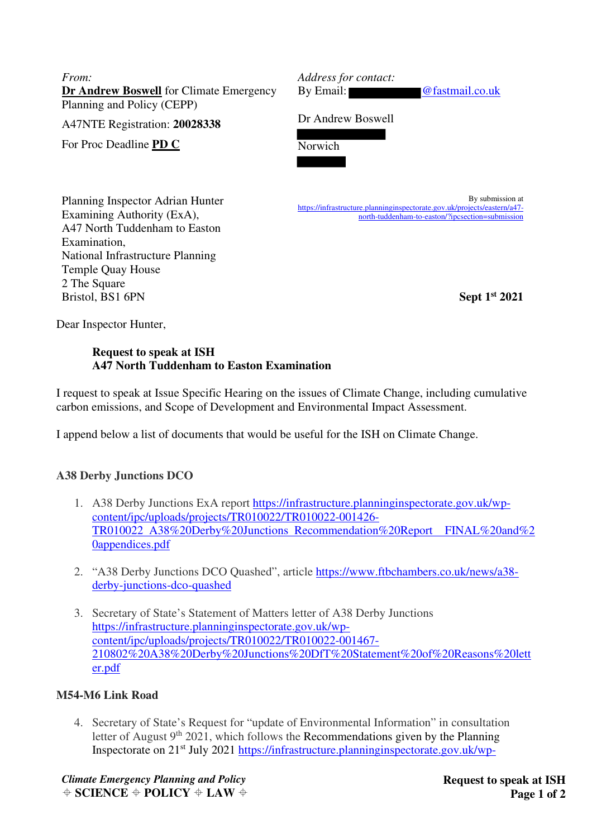*From:*  **Dr Andrew Boswell** for Climate Emergency Planning and Policy (CEPP)

A47NTE Registration: **20028338**

For Proc Deadline **PD C**

*Address for contact:* 

By Email: @fastmail.co.uk

Dr Andrew Boswell

Norwich

By submission at https://infrastructure.planninginspectorate.gov.uk/projects/eastern/a47 north-tuddenham-to-easton/?ipcsection=submission

Planning Inspector Adrian Hunter Examining Authority (ExA), A47 North Tuddenham to Easton Examination, National Infrastructure Planning Temple Quay House 2 The Square Bristol, BS1 6PN

**Sept 1st 2021**

Dear Inspector Hunter,

### **Request to speak at ISH A47 North Tuddenham to Easton Examination**

I request to speak at Issue Specific Hearing on the issues of Climate Change, including cumulative carbon emissions, and Scope of Development and Environmental Impact Assessment.

I append below a list of documents that would be useful for the ISH on Climate Change.

# **A38 Derby Junctions DCO**

- 1. A38 Derby Junctions ExA report https://infrastructure.planninginspectorate.gov.uk/wpcontent/ipc/uploads/projects/TR010022/TR010022-001426- TR010022 A38%20Derby%20Junctions Recommendation%20Report FINAL%20and%2 0appendices.pdf
- 2. "A38 Derby Junctions DCO Quashed", article https://www.ftbchambers.co.uk/news/a38 derby-junctions-dco-quashed
- 3. Secretary of State's Statement of Matters letter of A38 Derby Junctions https://infrastructure.planninginspectorate.gov.uk/wpcontent/ipc/uploads/projects/TR010022/TR010022-001467- 210802%20A38%20Derby%20Junctions%20DfT%20Statement%20of%20Reasons%20lett er.pdf

# **M54-M6 Link Road**

4. Secretary of State's Request for "update of Environmental Information" in consultation letter of August  $9<sup>th</sup> 2021$ , which follows the Recommendations given by the Planning Inspectorate on 21st July 2021 https://infrastructure.planninginspectorate.gov.uk/wp-

*Climate Emergency Planning and Policy*   $\triangle$  **SCIENCE**  $\triangle$  **POLICY**  $\triangle$  **LAW**  $\triangle$  **Request to speak at ISH Page 1 of 2**